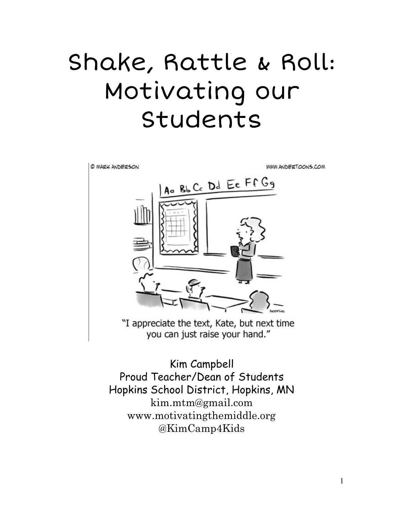# Shake, Rattle & Roll: Motivating our Students



Kim Campbell Proud Teacher/Dean of Students Hopkins School District, Hopkins, MN [kim.mtm@gmail.com](mailto:kim.mtm@gmail.com) [www.motivatingthemiddle.org](http://www.motivatingthemiddle.org/) @KimCamp4Kids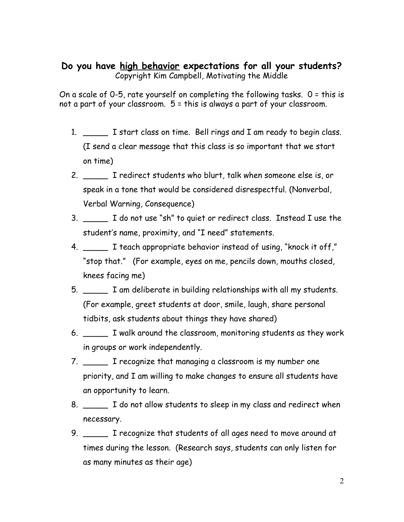### **Do you have high behavior expectations for all your students?** Copyright Kim Campbell, Motivating the Middle

On a scale of 0-5, rate yourself on completing the following tasks. 0 = this is not a part of your classroom. 5 = this is always a part of your classroom.

- 1. \_\_\_\_\_ I start class on time. Bell rings and I am ready to begin class. (I send a clear message that this class is so important that we start on time)
- 2. \_\_\_\_\_ I redirect students who blurt, talk when someone else is, or speak in a tone that would be considered disrespectful. (Nonverbal, Verbal Warning, Consequence)
- 3. \_\_\_\_\_ I do not use "sh" to quiet or redirect class. Instead I use the student's name, proximity, and "I need" statements.
- 4. \_\_\_\_\_ I teach appropriate behavior instead of using, "knock it off," "stop that." (For example, eyes on me, pencils down, mouths closed, knees facing me)
- 5. \_\_\_\_\_ I am deliberate in building relationships with all my students. (For example, greet students at door, smile, laugh, share personal tidbits, ask students about things they have shared)
- 6. \_\_\_\_\_ I walk around the classroom, monitoring students as they work in groups or work independently.
- 7. \_\_\_\_\_ I recognize that managing a classroom is my number one priority, and I am willing to make changes to ensure all students have an opportunity to learn.
- 8. \_\_\_\_\_ I do not allow students to sleep in my class and redirect when necessary.
- 9. \_\_\_\_\_ I recognize that students of all ages need to move around at times during the lesson. (Research says, students can only listen for as many minutes as their age)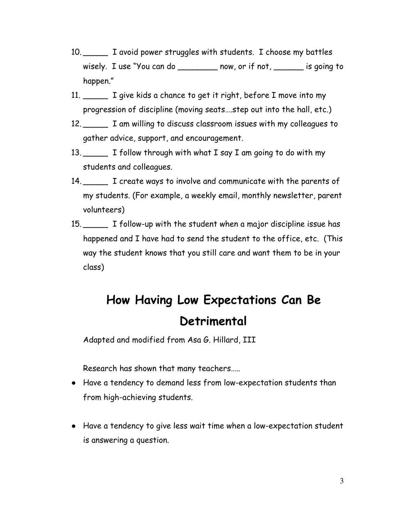- 10. \_\_\_\_\_ I avoid power struggles with students. I choose my battles wisely. I use "You can do \_\_\_\_\_\_\_\_\_ now, or if not, \_\_\_\_\_\_\_ is going to happen."
- 11. \_\_\_\_\_\_ I give kids a chance to get it right, before I move into my progression of discipline (moving seats….step out into the hall, etc.)
- 12. \_\_\_\_\_ I am willing to discuss classroom issues with my colleagues to gather advice, support, and encouragement.
- 13. I follow through with what I say I am going to do with my students and colleagues.
- 14. The create ways to involve and communicate with the parents of my students. (For example, a weekly email, monthly newsletter, parent volunteers)
- 15. \_\_\_\_\_ I follow-up with the student when a major discipline issue has happened and I have had to send the student to the office, etc. (This way the student knows that you still care and want them to be in your class)

## **How Having Low Expectations Can Be Detrimental**

Adapted and modified from Asa G. Hillard, III

Research has shown that many teachers…..

- Have a tendency to demand less from low-expectation students than from high-achieving students.
- Have a tendency to give less wait time when a low-expectation student is answering a question.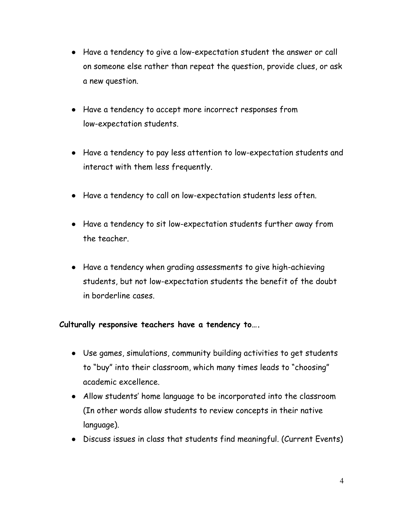- Have a tendency to give a low-expectation student the answer or call on someone else rather than repeat the question, provide clues, or ask a new question.
- Have a tendency to accept more incorrect responses from low-expectation students.
- Have a tendency to pay less attention to low-expectation students and interact with them less frequently.
- Have a tendency to call on low-expectation students less often.
- Have a tendency to sit low-expectation students further away from the teacher.
- Have a tendency when grading assessments to give high-achieving students, but not low-expectation students the benefit of the doubt in borderline cases.

#### **Culturally responsive teachers have a tendency to….**

- Use games, simulations, community building activities to get students to "buy" into their classroom, which many times leads to "choosing" academic excellence.
- Allow students' home language to be incorporated into the classroom (In other words allow students to review concepts in their native language).
- Discuss issues in class that students find meaningful. (Current Events)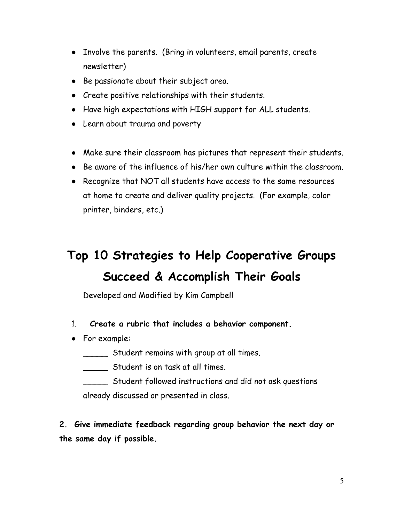- Involve the parents. (Bring in volunteers, email parents, create newsletter)
- Be passionate about their subject area.
- Create positive relationships with their students.
- Have high expectations with HIGH support for ALL students.
- Learn about trauma and poverty
- Make sure their classroom has pictures that represent their students.
- Be aware of the influence of his/her own culture within the classroom.
- Recognize that NOT all students have access to the same resources at home to create and deliver quality projects. (For example, color printer, binders, etc.)

## **Top 10 Strategies to Help Cooperative Groups Succeed & Accomplish Their Goals**

Developed and Modified by Kim Campbell

- 1. **Create a rubric that includes a behavior component.**
- For example:
	- \_\_\_\_\_ Student remains with group at all times.
	- \_\_\_\_\_ Student is on task at all times.
	- \_\_\_\_\_ Student followed instructions and did not ask questions already discussed or presented in class.

**2. Give immediate feedback regarding group behavior the next day or the same day if possible.**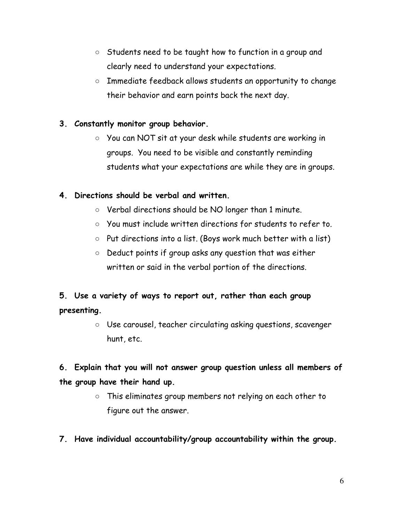- Students need to be taught how to function in a group and clearly need to understand your expectations.
- Immediate feedback allows students an opportunity to change their behavior and earn points back the next day.

### **3. Constantly monitor group behavior.**

○ You can NOT sit at your desk while students are working in groups. You need to be visible and constantly reminding students what your expectations are while they are in groups.

### **4. Directions should be verbal and written.**

- Verbal directions should be NO longer than 1 minute.
- You must include written directions for students to refer to.
- $\circ$  Put directions into a list. (Boys work much better with a list)
- Deduct points if group asks any question that was either written or said in the verbal portion of the directions.

### **5. Use a variety of ways to report out, rather than each group presenting.**

○ Use carousel, teacher circulating asking questions, scavenger hunt, etc.

### **6. Explain that you will not answer group question unless all members of the group have their hand up.**

- This eliminates group members not relying on each other to figure out the answer.
- **7. Have individual accountability/group accountability within the group.**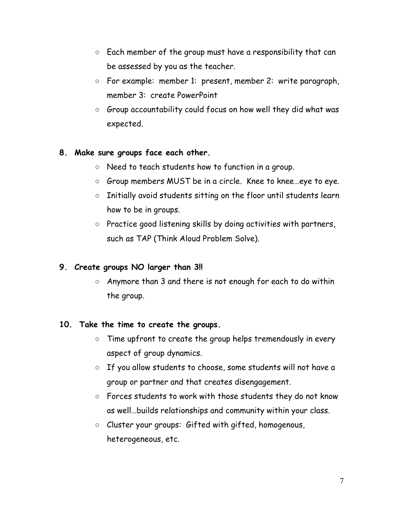- Each member of the group must have a responsibility that can be assessed by you as the teacher.
- For example: member 1: present, member 2: write paragraph, member 3: create PowerPoint
- $\circ$  Group accountability could focus on how well they did what was expected.

### **8. Make sure groups face each other.**

- Need to teach students how to function in a group.
- Group members MUST be in a circle. Knee to knee...eye to eye.
- Initially avoid students sitting on the floor until students learn how to be in groups.
- Practice good listening skills by doing activities with partners, such as TAP (Think Aloud Problem Solve).

### **9. Create groups NO larger than 3!!**

○ Anymore than 3 and there is not enough for each to do within the group.

### **10. Take the time to create the groups.**

- Time upfront to create the group helps tremendously in every aspect of group dynamics.
- If you allow students to choose, some students will not have a group or partner and that creates disengagement.
- Forces students to work with those students they do not know as well…builds relationships and community within your class.
- Cluster your groups: Gifted with gifted, homogenous, heterogeneous, etc.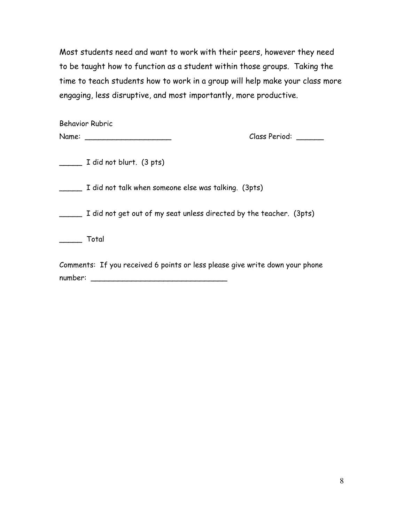Most students need and want to work with their peers, however they need to be taught how to function as a student within those groups. Taking the time to teach students how to work in a group will help make your class more engaging, less disruptive, and most importantly, more productive.

| <b>Behavior Rubric</b><br>Name:                                              | Class Period: |
|------------------------------------------------------------------------------|---------------|
| I did not blurt. (3 pts)                                                     |               |
| I did not talk when someone else was talking. (3pts)                         |               |
| I did not get out of my seat unless directed by the teacher. (3pts)          |               |
| Total                                                                        |               |
| Comments: If you received 6 points or less please give write down your phone |               |

number: \_\_\_\_\_\_\_\_\_\_\_\_\_\_\_\_\_\_\_\_\_\_\_\_\_\_\_\_\_\_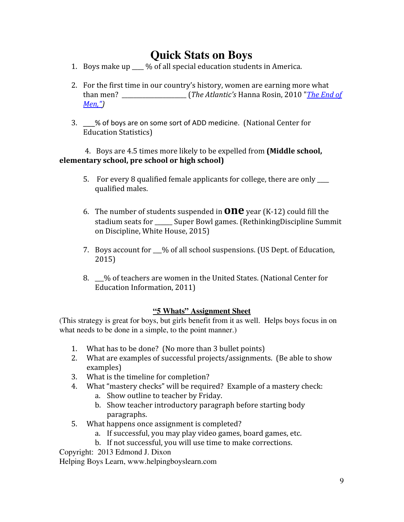### **Quick Stats on Boys**

- 1. Boys make up  $\frac{1}{2}$  % of all special education students in America.
- 2. For the first time in our country's history, women are earning more what than men? \_\_\_\_\_\_\_\_\_\_\_\_\_\_\_\_\_\_\_\_\_\_ (*The Atlantic's* Hanna Rosin, 2010 "*[The End of](http://www.theatlantic.com/magazine/archive/2010/07/the-end-of-men/8135/) [Men,"](http://www.theatlantic.com/magazine/archive/2010/07/the-end-of-men/8135/))*
- 3. \_\_\_% of boys are on some sort of ADD medicine. (National Center for Education Statistics)

#### 4. Boys are 4.5 times more likely to be expelled from **(Middle school, elementary school, pre school or high school)**

- 5. For every 8 qualified female applicants for college, there are only qualified males.
- 6. The number of students suspended in **one** year (K-12) could fill the stadium seats for Super Bowl games. (RethinkingDiscipline Summit on Discipline, White House, 2015)
- 7. Boys account for \_\_\_% of all school suspensions. (US Dept. of Education, 2015)
- 8. \_\_\_% of teachers are women in the United States. (National Center for Education Information, 2011)

#### **"5 Whats" Assignment Sheet**

(This strategy is great for boys, but girls benefit from it as well. Helps boys focus in on what needs to be done in a simple, to the point manner.)

- 1. What has to be done? (No more than 3 bullet points)
- 2. What are examples of successful projects/assignments. (Be able to show examples)
- 3. What is the timeline for completion?
- 4. What "mastery checks" will be required? Example of a mastery check:
	- a. Show outline to teacher by Friday.
	- b. Show teacher introductory paragraph before starting body paragraphs.
- 5. What happens once assignment is completed?
	- a. If successful, you may play video games, board games, etc.
	- b. If not successful, you will use time to make corrections.

Copyright: 2013 Edmond J. Dixon

Helping Boys Learn, www.helpingboyslearn.com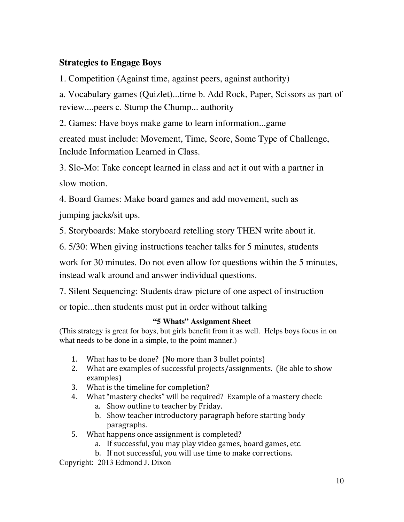### **Strategies to Engage Boys**

1. Competition (Against time, against peers, against authority)

a. Vocabulary games (Quizlet)...time b. Add Rock, Paper, Scissors as part of review....peers c. Stump the Chump... authority

2. Games: Have boys make game to learn information...game

created must include: Movement, Time, Score, Some Type of Challenge, Include Information Learned in Class.

3. Slo-Mo: Take concept learned in class and act it out with a partner in slow motion.

4. Board Games: Make board games and add movement, such as

jumping jacks/sit ups.

5. Storyboards: Make storyboard retelling story THEN write about it.

6. 5/30: When giving instructions teacher talks for 5 minutes, students

work for 30 minutes. Do not even allow for questions within the 5 minutes, instead walk around and answer individual questions.

7. Silent Sequencing: Students draw picture of one aspect of instruction

or topic...then students must put in order without talking

#### **"5 Whats" Assignment Sheet**

(This strategy is great for boys, but girls benefit from it as well. Helps boys focus in on what needs to be done in a simple, to the point manner.)

- 1. What has to be done? (No more than 3 bullet points)
- 2. What are examples of successful projects/assignments. (Be able to show examples)
- 3. What is the timeline for completion?
- 4. What "mastery checks" will be required? Example of a mastery check:
	- a. Show outline to teacher by Friday.
	- b. Show teacher introductory paragraph before starting body paragraphs.
- 5. What happens once assignment is completed?
	- a. If successful, you may play video games, board games, etc.
	- b. If not successful, you will use time to make corrections.

Copyright: 2013 Edmond J. Dixon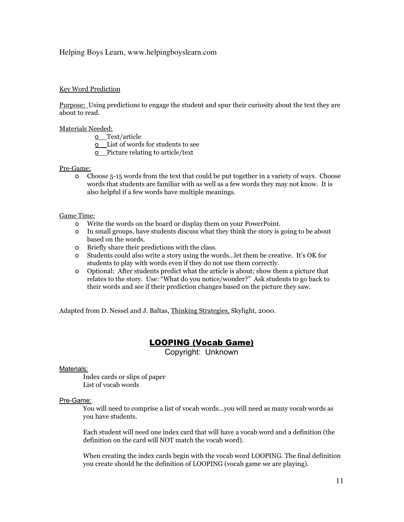#### Helping Boys Learn, www.helpingboyslearn.com

#### Key Word Prediction

Purpose: Using predictions to engage the student and spur their curiosity about the text they are about to read.

#### Materials Needed:

- o Text/article
- o List of words for students to see
- o Picture relating to article/text

#### Pre-Game:

o Choose 5-15 words from the text that could be put together in a variety of ways. Choose words that students are familiar with as well as a few words they may not know. It is also helpful if a few words have multiple meanings.

#### Game Time:

- o Write the words on the board or display them on your PowerPoint.
- o In small groups, have students discuss what they think the story is going to be about based on the words.
- o Briefly share their predictions with the class.
- o Students could also write a story using the words…let them be creative. It's OK for students to play with words even if they do not use them correctly.
- o Optional: After students predict what the article is about; show them a picture that relates to the story. Use: "What do you notice/wonder?" Ask students to go back to their words and see if their prediction changes based on the picture they saw.

Adapted from D. Nessel and J. Baltas, Thinking Strategies, Skylight, 2000.

#### LOOPING (Vocab Game)

Copyright: Unknown

#### Materials:

Index cards or slips of paper List of vocab words

#### Pre-Game:

You will need to comprise a list of vocab words…you will need as many vocab words as you have students.

Each student will need one index card that will have a vocab word and a definition (the definition on the card will NOT match the vocab word).

When creating the index cards begin with the vocab word LOOPING. The final definition you create should be the definition of LOOPING (vocab game we are playing).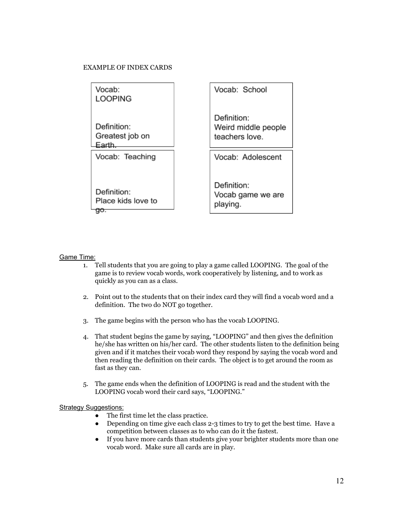#### EXAMPLE OF INDEX CARDS



#### Game Time:

- 1. Tell students that you are going to play a game called LOOPING. The goal of the game is to review vocab words, work cooperatively by listening, and to work as quickly as you can as a class.
- 2. Point out to the students that on their index card they will find a vocab word and a definition. The two do NOT go together.
- 3. The game begins with the person who has the vocab LOOPING.
- 4. That student begins the game by saying, "LOOPING" and then gives the definition he/she has written on his/her card. The other students listen to the definition being given and if it matches their vocab word they respond by saying the vocab word and then reading the definition on their cards. The object is to get around the room as fast as they can.
- 5. The game ends when the definition of LOOPING is read and the student with the LOOPING vocab word their card says, "LOOPING."

#### **Strategy Suggestions:**

- The first time let the class practice.
- Depending on time give each class 2-3 times to try to get the best time. Have a competition between classes as to who can do it the fastest.
- If you have more cards than students give your brighter students more than one vocab word. Make sure all cards are in play.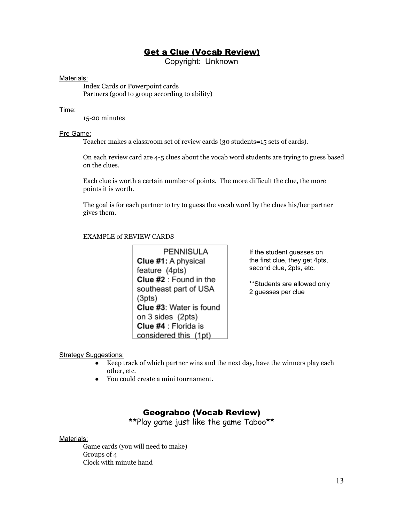#### **Get a Clue (Vocab Review)**

Copyright: Unknown

#### Materials:

Index Cards or Powerpoint cards Partners (good to group according to ability)

#### Time:

15-20 minutes

#### Pre Game:

Teacher makes a classroom set of review cards (30 students=15 sets of cards).

On each review card are 4-5 clues about the vocab word students are trying to guess based on the clues.

Each clue is worth a certain number of points. The more difficult the clue, the more points it is worth.

The goal is for each partner to try to guess the vocab word by the clues his/her partner gives them.

#### EXAMPLE of REVIEW CARDS

**PENNISULA** Clue #1: A physical feature (4pts) Clue #2 : Found in the southeast part of USA  $(3pts)$ Clue #3: Water is found on 3 sides (2pts) Clue #4 : Florida is considered this (1pt)

If the student guesses on the first clue, they get 4pts, second clue, 2pts, etc.

\*\*Students are allowed only 2 guesses per clue

#### **Strategy Suggestions:**

- Keep track of which partner wins and the next day, have the winners play each other, etc.
- You could create a mini tournament.

#### Geograboo (Vocab Review)

\*\*Play game just like the game Taboo\*\*

#### Materials:

Game cards (you will need to make) Groups of 4 Clock with minute hand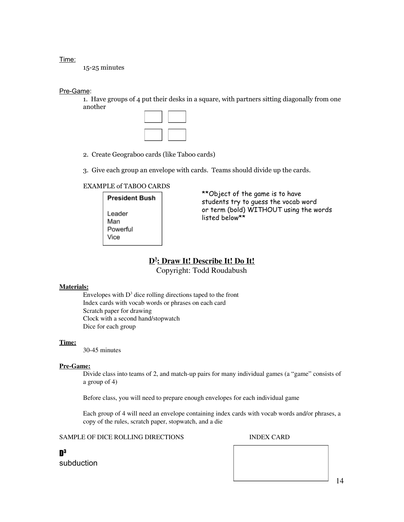Time:

15-25 minutes

#### Pre-Game:

1. Have groups of 4 put their desks in a square, with partners sitting diagonally from one another



- 2. Create Geograboo cards (like Taboo cards)
- 3. Give each group an envelope with cards. Teams should divide up the cards.

#### EXAMPLE of TABOO CARDS

**President Bush** Leader Man Powerful Vice

\*\*Object of the game is to have students try to guess the vocab word or term (bold) WITHOUT using the words listed below\*\*

#### **D 3 : Draw It! Describe It! Do It!**

Copyright: Todd Roudabush

#### **Materials:**

Envelopes with  $D<sup>3</sup>$  dice rolling directions taped to the front Index cards with vocab words or phrases on each card Scratch paper for drawing Clock with a second hand/stopwatch Dice for each group

#### **Time:**

30-45 minutes

#### **Pre-Game:**

Divide class into teams of 2, and match-up pairs for many individual games (a "game" consists of a group of 4)

Before class, you will need to prepare enough envelopes for each individual game

Each group of 4 will need an envelope containing index cards with vocab words and/or phrases, a copy of the rules, scratch paper, stopwatch, and a die

SAMPLE OF DICE ROLLING DIRECTIONS INDEX CARD

D 3 subduction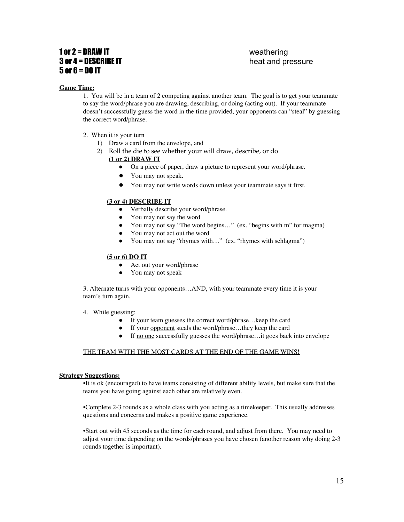#### 1 or 2 = DRAW IT weathering **3 or 4 = DESCRIBE IT** heat and pressure  $5$  or  $6$  = DO IT

#### **Game Time:**

1. You will be in a team of 2 competing against another team. The goal is to get your teammate to say the word/phrase you are drawing, describing, or doing (acting out). If your teammate doesn't successfully guess the word in the time provided, your opponents can "steal" by guessing the correct word/phrase.

- 2. When it is your turn
	- 1) Draw a card from the envelope, and
	- 2) Roll the die to see whether your will draw, describe, or do
		- **(1 or 2) DRAW IT**
			- On a piece of paper, draw a picture to represent your word/phrase.
			- You may not speak.
			- You may not write words down unless your teammate says it first.

#### **(3 or 4) DESCRIBE IT**

- Verbally describe your word/phrase.
- You may not say the word
- You may not say "The word begins…" (ex. "begins with m" for magma)
- You may not act out the word
- You may not say "rhymes with…" (ex. "rhymes with schlagma")

#### **(5 or 6) DO IT**

- Act out your word/phrase
- You may not speak

3. Alternate turns with your opponents…AND, with your teammate every time it is your team's turn again.

#### 4. While guessing:

- If your team guesses the correct word/phrase…keep the card
- If your opponent steals the word/phrase…they keep the card
- If no one successfully guesses the word/phrase…it goes back into envelope

#### THE TEAM WITH THE MOST CARDS AT THE END OF THE GAME WINS!

#### **Strategy Suggestions:**

•It is ok (encouraged) to have teams consisting of different ability levels, but make sure that the teams you have going against each other are relatively even.

•Complete 2-3 rounds as a whole class with you acting as a timekeeper. This usually addresses questions and concerns and makes a positive game experience.

•Start out with 45 seconds as the time for each round, and adjust from there. You may need to adjust your time depending on the words/phrases you have chosen (another reason why doing 2-3 rounds together is important).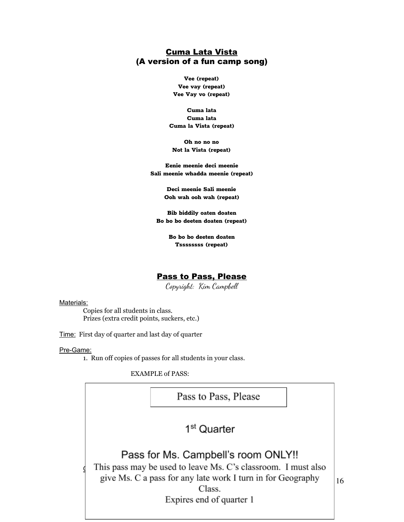#### Cuma Lata Vista (A version of a fun camp song)

**Vee (repeat) Vee vay (repeat) Vee Vay vo (repeat)**

**Cuma lata Cuma lata Cuma la Vista (repeat)**

**Oh no no no Not la Vista (repeat)**

**Eenie meenie deci meenie Sali meenie whadda meenie (repeat)**

> **Deci meenie Sali meenie Ooh wah ooh wah (repeat)**

**Bib biddily oaten doaten Bo bo bo deeten doaten (repeat)**

> **Bo bo bo deeten doaten Tssssssss (repeat)**

#### Pass to Pass, Please

Copyright: Kim Campbell

#### Materials:

Copies for all students in class. Prizes (extra credit points, suckers, etc.)

Time: First day of quarter and last day of quarter

#### Pre-Game:

1. Run off copies of passes for all students in your class.

EXAMPLE of PASS:

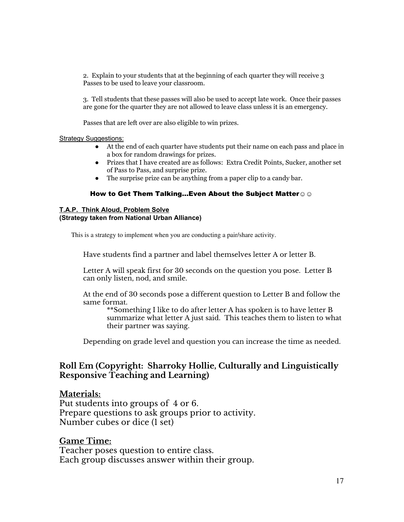2. Explain to your students that at the beginning of each quarter they will receive 3 Passes to be used to leave your classroom.

3. Tell students that these passes will also be used to accept late work. Once their passes are gone for the quarter they are not allowed to leave class unless it is an emergency.

Passes that are left over are also eligible to win prizes.

#### Strategy Suggestions:

- At the end of each quarter have students put their name on each pass and place in a box for random drawings for prizes.
- Prizes that I have created are as follows: Extra Credit Points, Sucker, another set of Pass to Pass, and surprise prize.
- The surprise prize can be anything from a paper clip to a candy bar.

#### How to Get Them Talking...Even About the Subject Matter☺☺

#### **T.A.P. Think Aloud, Problem Solve (Strategy taken from National Urban Alliance)**

This is a strategy to implement when you are conducting a pair/share activity.

Have students find a partner and label themselves letter A or letter B.

Letter A will speak first for 30 seconds on the question you pose. Letter B can only listen, nod, and smile.

At the end of 30 seconds pose a different question to Letter B and follow the same format.

\*\*Something I like to do after letter A has spoken is to have letter B summarize what letter A just said. This teaches them to listen to what their partner was saying.

Depending on grade level and question you can increase the time as needed.

#### **Roll Em (Copyright: Sharroky Hollie, Culturally and Linguistically Responsive Teaching and Learning)**

#### **Materials:**

Put students into groups of 4 or 6. Prepare questions to ask groups prior to activity. Number cubes or dice (1 set)

#### **Game Time:**

Teacher poses question to entire class. Each group discusses answer within their group.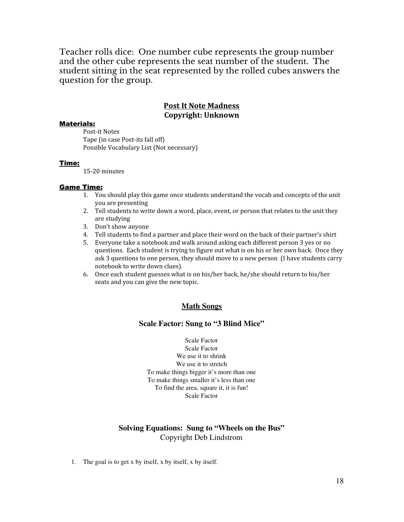Teacher rolls dice: One number cube represents the group number and the other cube represents the seat number of the student. The student sitting in the seat represented by the rolled cubes answers the question for the group.

#### **Post It Note Madness Copyright: Unknown**

#### Materials:

Post-it Notes Tape (in case Post-its fall off) Possible Vocabulary List (Not necessary)

#### Time:

15-20 minutes

#### Game Time:

- 1. You should play this game once students understand the vocab and concepts of the unit you are presenting
- 2. Tell students to write down a word, place, event, or person that relates to the unit they are studying
- 3. Don't show anyone
- 4. Tell students to find a partner and place their word on the back of their partner's shirt
- 5. Everyone take a notebook and walk around asking each different person 3 yes or no questions. Each student is trying to figure out what is on his or her own back. Once they ask 3 questions to one person, they should move to a new person (I have students carry notebook to write down clues).
- 6. Once each student guesses what is on his/her back, he/she should return to his/her seats and you can give the new topic.

#### **Math Songs**

#### **Scale Factor: Sung to "3 Blind Mice"**

Scale Factor Scale Factor We use it to shrink We use it to stretch To make things bigger it's more than one To make things smaller it's less than one To find the area, square it, it is fun! Scale Factor

#### **Solving Equations: Sung to "Wheels on the Bus"** Copyright Deb Lindstrom

1. The goal is to get x by itself, x by itself, x by itself.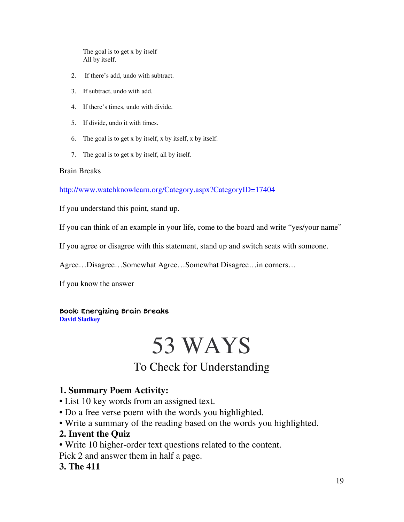The goal is to get x by itself All by itself.

- 2. If there's add, undo with subtract.
- 3. If subtract, undo with add.
- 4. If there's times, undo with divide.
- 5. If divide, undo it with times.
- 6. The goal is to get x by itself, x by itself, x by itself.
- 7. The goal is to get x by itself, all by itself.

#### Brain Breaks

<http://www.watchknowlearn.org/Category.aspx?CategoryID=17404>

If you understand this point, stand up.

If you can think of an example in your life, come to the board and write "yes/your name"

If you agree or disagree with this statement, stand up and switch seats with someone.

Agree…Disagree…Somewhat Agree…Somewhat Disagree…in corners…

If you know the answer

#### Book: Energizing Brain Breaks

**David [Sladkey](http://www.corwin.com/authors/663972)**

# 53 WAYS

### To Check for Understanding

#### **1. Summary Poem Activity:**

• List 10 key words from an assigned text.

- Do a free verse poem with the words you highlighted.
- Write a summary of the reading based on the words you highlighted.

#### **2. Invent the Quiz**

• Write 10 higher-order text questions related to the content.

Pick 2 and answer them in half a page.

#### **3. The 411**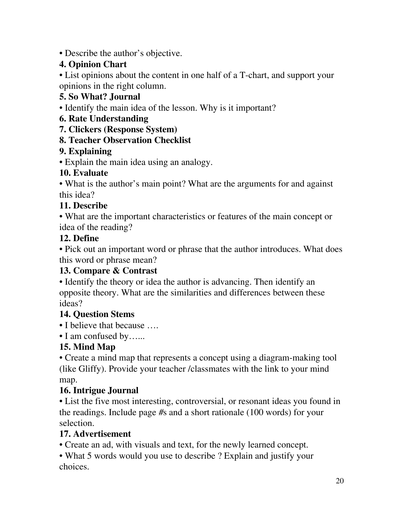• Describe the author's objective.

### **4. Opinion Chart**

• List opinions about the content in one half of a T-chart, and support your opinions in the right column.

### **5. So What? Journal**

• Identify the main idea of the lesson. Why is it important?

### **6. Rate Understanding**

**7. Clickers (Response System)**

### **8. Teacher Observation Checklist**

### **9. Explaining**

• Explain the main idea using an analogy.

### **10. Evaluate**

• What is the author's main point? What are the arguments for and against this idea?

### **11. Describe**

• What are the important characteristics or features of the main concept or idea of the reading?

### **12. Define**

• Pick out an important word or phrase that the author introduces. What does this word or phrase mean?

### **13. Compare & Contrast**

• Identify the theory or idea the author is advancing. Then identify an opposite theory. What are the similarities and differences between these ideas?

### **14. Question Stems**

- I believe that because ....
- I am confused by......

### **15. Mind Map**

• Create a mind map that represents a concept using a diagram-making tool (like Gliffy). Provide your teacher /classmates with the link to your mind map.

### **16. Intrigue Journal**

• List the five most interesting, controversial, or resonant ideas you found in the readings. Include page #s and a short rationale (100 words) for your selection.

### **17. Advertisement**

• Create an ad, with visuals and text, for the newly learned concept.

• What 5 words would you use to describe ? Explain and justify your choices.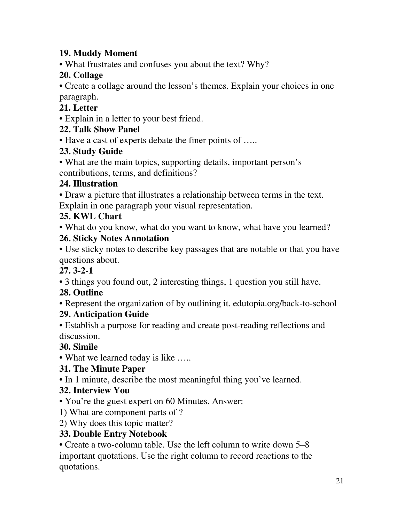### **19. Muddy Moment**

• What frustrates and confuses you about the text? Why?

### **20. Collage**

• Create a collage around the lesson's themes. Explain your choices in one paragraph.

### **21. Letter**

• Explain in a letter to your best friend.

### **22. Talk Show Panel**

• Have a cast of experts debate the finer points of .....

### **23. Study Guide**

• What are the main topics, supporting details, important person's contributions, terms, and definitions?

### **24. Illustration**

• Draw a picture that illustrates a relationship between terms in the text. Explain in one paragraph your visual representation.

### **25. KWL Chart**

• What do you know, what do you want to know, what have you learned?

### **26. Sticky Notes Annotation**

• Use sticky notes to describe key passages that are notable or that you have questions about.

### **27. 3-2-1**

• 3 things you found out, 2 interesting things, 1 question you still have.

### **28. Outline**

• Represent the organization of by outlining it. edutopia.org/back-to-school

### **29. Anticipation Guide**

• Establish a purpose for reading and create post-reading reflections and discussion.

### **30. Simile**

• What we learned today is like .....

### **31. The Minute Paper**

• In 1 minute, describe the most meaningful thing you've learned.

### **32. Interview You**

• You're the guest expert on 60 Minutes. Answer:

- 1) What are component parts of ?
- 2) Why does this topic matter?

### **33. Double Entry Notebook**

• Create a two-column table. Use the left column to write down 5–8 important quotations. Use the right column to record reactions to the quotations.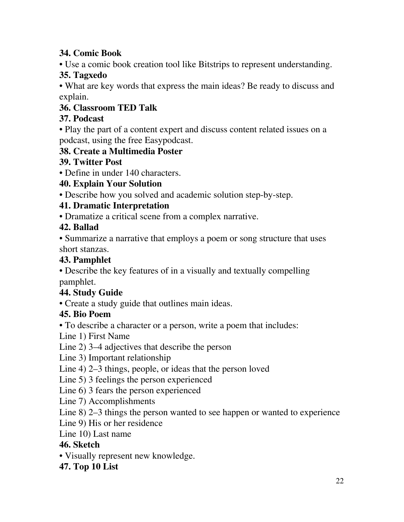### **34. Comic Book**

• Use a comic book creation tool like Bitstrips to represent understanding.

### **35. Tagxedo**

• What are key words that express the main ideas? Be ready to discuss and explain.

### **36. Classroom TED Talk**

### **37. Podcast**

• Play the part of a content expert and discuss content related issues on a podcast, using the free Easypodcast.

### **38. Create a Multimedia Poster**

### **39. Twitter Post**

• Define in under 140 characters.

### **40. Explain Your Solution**

• Describe how you solved and academic solution step-by-step.

### **41. Dramatic Interpretation**

• Dramatize a critical scene from a complex narrative.

### **42. Ballad**

• Summarize a narrative that employs a poem or song structure that uses short stanzas.

### **43. Pamphlet**

• Describe the key features of in a visually and textually compelling pamphlet.

### **44. Study Guide**

• Create a study guide that outlines main ideas.

### **45. Bio Poem**

• To describe a character or a person, write a poem that includes:

Line 1) First Name

Line 2) 3–4 adjectives that describe the person

Line 3) Important relationship

Line 4) 2–3 things, people, or ideas that the person loved

Line 5) 3 feelings the person experienced

Line 6) 3 fears the person experienced

Line 7) Accomplishments

Line 8) 2–3 things the person wanted to see happen or wanted to experience

Line 9) His or her residence

Line 10) Last name

### **46. Sketch**

• Visually represent new knowledge.

### **47. Top 10 List**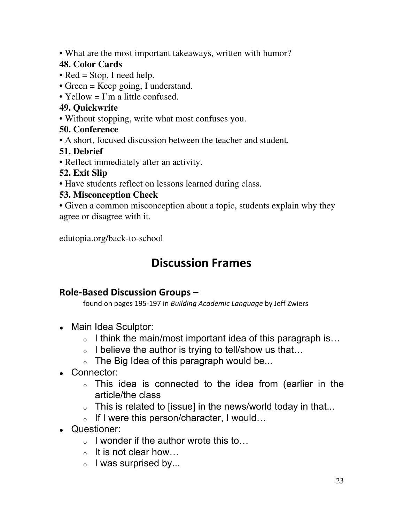• What are the most important takeaways, written with humor?

### **48. Color Cards**

- Red = Stop, I need help.
- Green = Keep going, I understand.
- Yellow = I'm a little confused.

### **49. Quickwrite**

- Without stopping, write what most confuses you.
- **50. Conference**
- A short, focused discussion between the teacher and student.

### **51. Debrief**

• Reflect immediately after an activity.

### **52. Exit Slip**

• Have students reflect on lessons learned during class.

### **53. Misconception Check**

• Given a common misconception about a topic, students explain why they agree or disagree with it.

edutopia.org/back-to-school

## **Discussion Frames**

### **Role-Based Discussion Groups –**

found on pages 195-197 in *Building Academic Language* by Jeff Zwiers

- Main Idea Sculptor:
	- <sup>o</sup> I think the main/most important idea of this paragraph is…
	- $\circ$  I believe the author is trying to tell/show us that...
	- $\circ$  The Big Idea of this paragraph would be...
- Connector:
	- <sup>o</sup> This idea is connected to the idea from (earlier in the article/the class
	- $\circ$  This is related to [issue] in the news/world today in that...
	- <sup>o</sup> If I were this person/character, I would…
- Questioner:
	- <sup>o</sup> I wonder if the author wrote this to…
	- $\circ$  It is not clear how...
	- $\circ$  I was surprised by...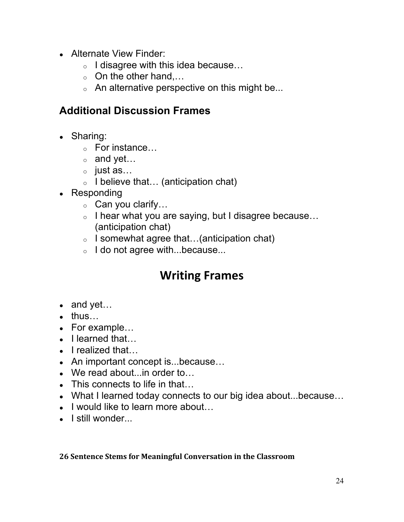- Alternate View Finder:
	- <sup>o</sup> I disagree with this idea because…
	- $\circ$  On the other hand,...
	- $\circ$  An alternative perspective on this might be...

### **Additional Discussion Frames**

- Sharing:
	- <sup>o</sup> For instance…
	- $\circ$  and yet...
	- <sup>o</sup> just as…
	- $\circ$  I believe that... (anticipation chat)
- Responding
	- $\circ$  Can you clarify...
	- <sup>o</sup> I hear what you are saying, but I disagree because… (anticipation chat)
	- $\circ$  I somewhat agree that...(anticipation chat)
	- o I do not agree with...because...

## **Writing Frames**

- $\bullet$  and yet...
- $\bullet$  thus...
- For example...
- $\bullet$  I learned that...
- $\bullet$  I realized that...
- An important concept is...because...
- $\bullet$  We read about... in order to...
- $\bullet$  This connects to life in that...
- What I learned today connects to our big idea about...because...
- $\bullet$  I would like to learn more about...
- I still wonder...

### **26 Sentence Stems for Meaningful Conversation in the Classroom**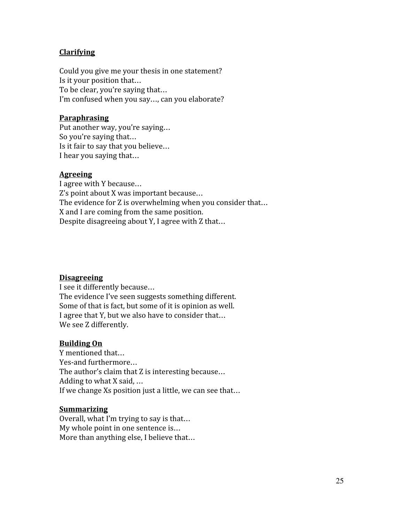#### **Clarifying**

Could you give me your thesis in one statement? Is it your position that… To be clear, you're saying that… I'm confused when you say…, can you elaborate?

#### **Paraphrasing**

Put another way, you're saying… So you're saying that… Is it fair to say that you believe… I hear you saying that…

#### **Agreeing**

I agree with Y because… Z's point about X was important because… The evidence for Z is overwhelming when you consider that… X and I are coming from the same position. Despite disagreeing about Y, I agree with Z that…

#### **Disagreeing**

I see it differently because… The evidence I've seen suggests something different. Some of that is fact, but some of it is opinion as well. I agree that Y, but we also have to consider that… We see Z differently.

#### **Building On**

Y mentioned that… Yes-and furthermore… The author's claim that Z is interesting because… Adding to what X said, … If we change Xs position just a little, we can see that…

#### **Summarizing**

Overall, what I'm trying to say is that… My whole point in one sentence is… More than anything else, I believe that…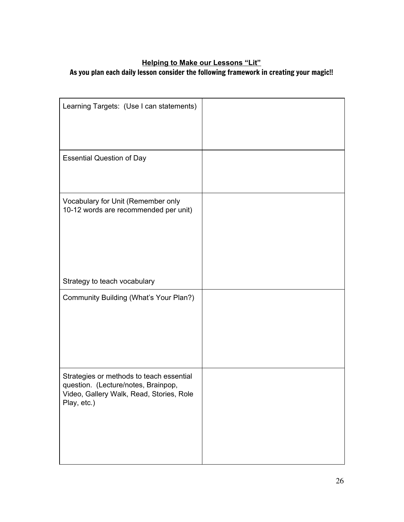### **Helping to Make our Lessons "Lit"**

#### As you plan each daily lesson consider the following framework in creating your magic!!

| Learning Targets: (Use I can statements)                                                                                                   |  |
|--------------------------------------------------------------------------------------------------------------------------------------------|--|
| <b>Essential Question of Day</b>                                                                                                           |  |
| Vocabulary for Unit (Remember only<br>10-12 words are recommended per unit)                                                                |  |
| Strategy to teach vocabulary                                                                                                               |  |
| Community Building (What's Your Plan?)                                                                                                     |  |
| Strategies or methods to teach essential<br>question. (Lecture/notes, Brainpop,<br>Video, Gallery Walk, Read, Stories, Role<br>Play, etc.) |  |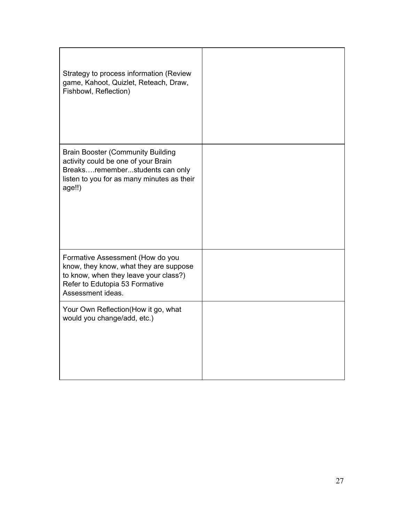| Strategy to process information (Review<br>game, Kahoot, Quizlet, Reteach, Draw,<br>Fishbowl, Reflection)                                                                  |  |
|----------------------------------------------------------------------------------------------------------------------------------------------------------------------------|--|
| <b>Brain Booster (Community Building</b><br>activity could be one of your Brain<br>Breaksrememberstudents can only<br>listen to you for as many minutes as their<br>age!!) |  |
| Formative Assessment (How do you<br>know, they know, what they are suppose<br>to know, when they leave your class?)<br>Refer to Edutopia 53 Formative<br>Assessment ideas. |  |
| Your Own Reflection(How it go, what<br>would you change/add, etc.)                                                                                                         |  |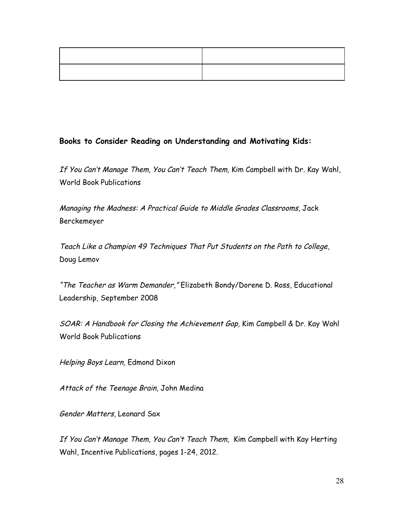#### **Books to Consider Reading on Understanding and Motivating Kids:**

If You Can't Manage Them, You Can't Teach Them, Kim Campbell with Dr. Kay Wahl, World Book Publications

Managing the Madness: <sup>A</sup> Practical Guide to Middle Grades Classrooms, Jack Berckemeyer

Teach Like <sup>a</sup> Champion 49 Techniques That Put Students on the Path to College, Doug Lemov

"The Teacher as Warm Demander," Elizabeth Bondy/Dorene D. Ross, Educational Leadership, September 2008

SOAR: <sup>A</sup> Handbook for Closing the Achievement Gap, Kim Campbell & Dr. Kay Wahl World Book Publications

Helping Boys Learn, Edmond Dixon

Attack of the Teenage Brain, John Medina

Gender Matters, Leonard Sax

If You Can't Manage Them, You Can't Teach Them, Kim Campbell with Kay Herting Wahl, Incentive Publications, pages 1-24, 2012.